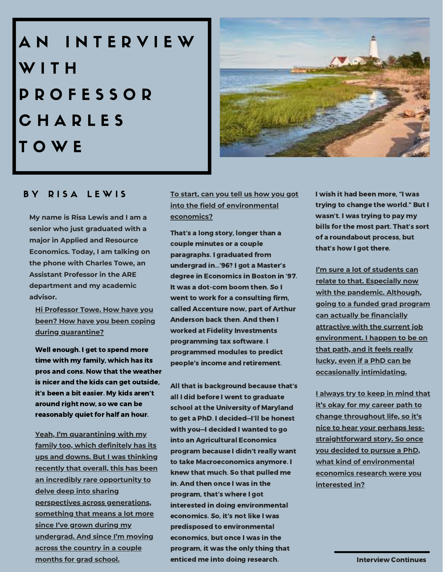AN INTERVIEW WITH P R O F E S S O R C H A R L E S T O W E



# BY RISA LEWIS

**My name is Risa Lewis and I am a senior who just graduated with a major in Applied and Resource Economics. Today, I am talking on the phone with Charles Towe, an Assistant Professor in the ARE department and my academic advisor.**

**Hi Professor Towe. How have you been? How have you been coping during quarantine?**

Well enough. I get to spend more time with my family, which has its pros and cons. Now that the weather is nicer and the kids can get outside, it's been a bit easier. My kids aren't around right now, so we can be reasonably quiet for half an hour.

**Yeah, I'm quarantining with my family too, which definitely has its ups and downs. But I was thinking recently that overall, this has been an incredibly rare opportunity to delve deep into sharing perspectives across generations, something that means a lot more since I've grown during my undergrad. And since I'm moving across the country in a couple months for grad school.**

**To start, can you tell us how you got into the field of environmental economics?**

That's a long story, longer than a couple minutes or a couple paragraphs. I graduated from undergrad in…'96? I got a Master's degree in Economics in Boston in '97. It was a dot-com boom then. So I went to work for a consulting firm, called Accenture now, part of Arthur Anderson back then. And then I worked at Fidelity Investments programming tax software. I programmed modules to predict people's income and retirement.

All that is background because that's all I did before I went to graduate school at the University of Maryland to get a PhD. I decided—I'll be honest with you—I decided I wanted to go into an Agricultural Economics program because I didn't really want to take Macroeconomics anymore. I knew that much. So that pulled me in. And then once I was in the program, that's where I got interested in doing environmental economics. So, it's not like I was predisposed to environmental economics, but once I was in the program, it was the only thing that enticed me into doing research.

I wish it had been more, "I was trying to change the world." But I wasn't. I was trying to pay my bills for the most part. That's sort of a roundabout process, but that's how I got there.

**I'm sure a lot of students can relate to that. Especially now with the pandemic. Although, going to a funded grad program can actually be financially attractive with the current job environment. I happen to be on that path, and it feels really lucky, even if a PhD can be occasionally intimidating.**

**I always try to keep in mind that it's okay for my career path to change throughout life, so it's nice to hear your perhaps lessstraightforward story. So once you decided to pursue a PhD, what kind of environmental economics research were you interested in?**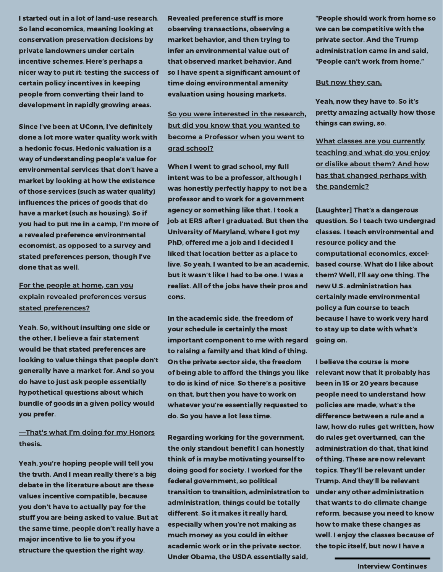I started out in a lot of land-use research. So land economics, meaning looking at conservation preservation decisions by private landowners under certain incentive schemes. Here's perhaps a nicer way to put it: testing the success of certain policy incentives in keeping people from converting their land to development in rapidly growing areas.

Since I've been at UConn, I've definitely done a lot more water quality work with a hedonic focus. Hedonic valuation is a way of understanding people's value for environmental services that don't have a market by looking at how the existence of those services (such as water quality) influences the prices of goods that do have a market (such as housing). So if you had to put me in a camp, I'm more of a revealed preference environmental economist, as opposed to a survey and stated preferences person, though I've done that as well.

## **For the people at home, can you explain revealed preferences versus stated preferences?**

Yeah. So, without insulting one side or the other, I believe a fair statement would be that stated preferences are looking to value things that people don't generally have a market for. And so you do have to just ask people essentially hypothetical questions about which bundle of goods in a given policy would you prefer.

### **—That's what I'm doing for my Honors thesis.**

Yeah, you're hoping people will tell you the truth. And I mean really there's a big debate in the literature about are these values incentive compatible, because you don't have to actually pay for the stuff you are being asked to value. But at the same time, people don't really have a major incentive to lie to you if you structure the question the right way.

Revealed preference stuff is more observing transactions, observing a market behavior, and then trying to infer an environmental value out of that observed market behavior. And so I have spent a significant amount of time doing environmental amenity evaluation using housing markets.

# **So you were interested in the research, but did you know that you wanted to become a Professor when you went to grad school?**

When I went to grad school, my full intent was to be a professor, although I was honestly perfectly happy to not be a professor and to work for a government agency or something like that. I took a job at ERS after I graduated. But then the University of Maryland, where I got my PhD, offered me a job and I decided I liked that location better as a place to live. So yeah, I wanted to be an academic, but it wasn't like I had to be one. I was a realist. All of the jobs have their pros and cons.

In the academic side, the freedom of your schedule is certainly the most important component to me with regard to raising a family and that kind of thing. On the private sector side, the freedom of being able to afford the things you like to do is kind of nice. So there's a positive on that, but then you have to work on whatever you're essentially requested to do. So you have a lot less time.

Regarding working for the government, the only standout benefit I can honestly think of is maybe motivating yourself to doing good for society. I worked for the federal government, so political transition to transition, administration to under any other administration administration, things could be totally different. So it makes it really hard, especially when you're not making as much money as you could in either academic work or in the private sector. Under Obama, the USDA essentially said,

"People should work from home so we can be competitive with the private sector. And the Trump administration came in and said, "People can't work from home."

#### **But now they can.**

Yeah, now they have to. So it's pretty amazing actually how those things can swing, so.

**What classes are you currently teaching and what do you enjoy or dislike about them? And how has that changed perhaps with the pandemic?**

[Laughter] That's a dangerous question. So I teach two undergrad classes. I teach environmental and resource policy and the computational economics, excelbased course. What do I like about them? Well, I'll say one thing. The new U.S. administration has certainly made environmental policy a fun course to teach because I have to work very hard to stay up to date with what's going on.

I believe the course is more relevant now that it probably has been in 15 or 20 years because people need to understand how policies are made, what's the difference between a rule and a law, how do rules get written, how do rules get overturned, can the administration do that, that kind of thing. These are now relevant topics. They'll be relevant under Trump. And they'll be relevant that wants to do climate change reform, because you need to know how to make these changes as well. I enjoy the classes because of the topic itself, but now I have a